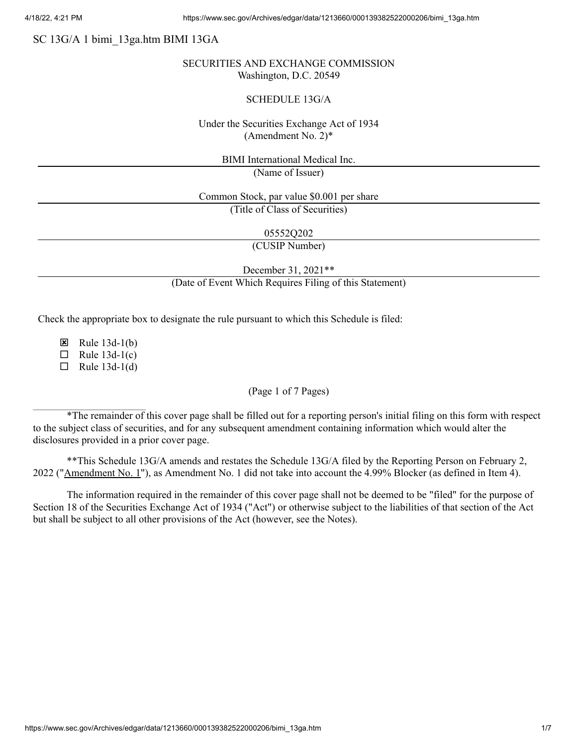# SC 13G/A 1 bimi\_13ga.htm BIMI 13GA

### SECURITIES AND EXCHANGE COMMISSION Washington, D.C. 20549

#### SCHEDULE 13G/A

## Under the Securities Exchange Act of 1934 (Amendment No. 2)\*

BIMI International Medical Inc.

(Name of Issuer)

Common Stock, par value \$0.001 per share (Title of Class of Securities)

05552Q202

(CUSIP Number)

December 31, 2021\*\*

(Date of Event Which Requires Filing of this Statement)

Check the appropriate box to designate the rule pursuant to which this Schedule is filed:

E Rule  $13d-1(b)$ 

 $\Box$  Rule 13d-1(c)

 $\Box$  Rule 13d-1(d)

#### (Page 1 of 7 Pages)

\*The remainder of this cover page shall be filled out for a reporting person's initial filing on this form with respect to the subject class of securities, and for any subsequent amendment containing information which would alter the disclosures provided in a prior cover page.

\*\*This Schedule 13G/A amends and restates the Schedule 13G/A filed by the Reporting Person on February 2, 2022 ("Amendment No. 1"), as Amendment No. 1 did not take into account the 4.99% Blocker (as defined in Item 4).

The information required in the remainder of this cover page shall not be deemed to be "filed" for the purpose of Section 18 of the Securities Exchange Act of 1934 ("Act") or otherwise subject to the liabilities of that section of the Act but shall be subject to all other provisions of the Act (however, see the Notes).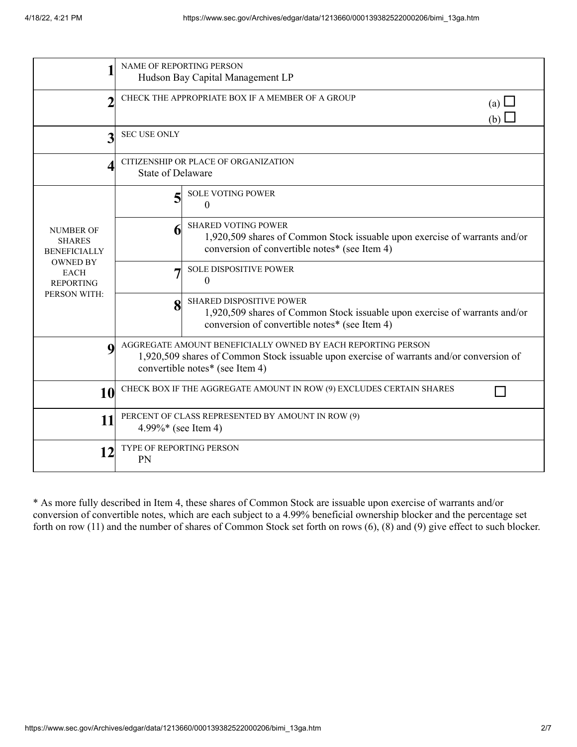| 1                                                                                                                              | NAME OF REPORTING PERSON<br>Hudson Bay Capital Management LP                                                                                                                                |                                                                                                                                                                |  |
|--------------------------------------------------------------------------------------------------------------------------------|---------------------------------------------------------------------------------------------------------------------------------------------------------------------------------------------|----------------------------------------------------------------------------------------------------------------------------------------------------------------|--|
| $\mathcal{P}$                                                                                                                  | CHECK THE APPROPRIATE BOX IF A MEMBER OF A GROUP<br>(a) $\Box$<br>(b)                                                                                                                       |                                                                                                                                                                |  |
| 3                                                                                                                              | <b>SEC USE ONLY</b>                                                                                                                                                                         |                                                                                                                                                                |  |
| 4                                                                                                                              | CITIZENSHIP OR PLACE OF ORGANIZATION<br><b>State of Delaware</b>                                                                                                                            |                                                                                                                                                                |  |
| <b>NUMBER OF</b><br><b>SHARES</b><br><b>BENEFICIALLY</b><br><b>OWNED BY</b><br><b>EACH</b><br><b>REPORTING</b><br>PERSON WITH: | 5                                                                                                                                                                                           | <b>SOLE VOTING POWER</b><br>$\theta$                                                                                                                           |  |
|                                                                                                                                |                                                                                                                                                                                             | <b>SHARED VOTING POWER</b><br>1,920,509 shares of Common Stock issuable upon exercise of warrants and/or<br>conversion of convertible notes* (see Item 4)      |  |
|                                                                                                                                |                                                                                                                                                                                             | <b>SOLE DISPOSITIVE POWER</b><br>$\theta$                                                                                                                      |  |
|                                                                                                                                | 8                                                                                                                                                                                           | <b>SHARED DISPOSITIVE POWER</b><br>1,920,509 shares of Common Stock issuable upon exercise of warrants and/or<br>conversion of convertible notes* (see Item 4) |  |
| $\mathbf 0$                                                                                                                    | AGGREGATE AMOUNT BENEFICIALLY OWNED BY EACH REPORTING PERSON<br>1,920,509 shares of Common Stock issuable upon exercise of warrants and/or conversion of<br>convertible notes* (see Item 4) |                                                                                                                                                                |  |
| 10                                                                                                                             | CHECK BOX IF THE AGGREGATE AMOUNT IN ROW (9) EXCLUDES CERTAIN SHARES                                                                                                                        |                                                                                                                                                                |  |
| 11                                                                                                                             | PERCENT OF CLASS REPRESENTED BY AMOUNT IN ROW (9)<br>4.99%* (see Item 4)                                                                                                                    |                                                                                                                                                                |  |
| 12                                                                                                                             | TYPE OF REPORTING PERSON<br>PN                                                                                                                                                              |                                                                                                                                                                |  |

\* As more fully described in Item 4, these shares of Common Stock are issuable upon exercise of warrants and/or conversion of convertible notes, which are each subject to a 4.99% beneficial ownership blocker and the percentage set forth on row (11) and the number of shares of Common Stock set forth on rows (6), (8) and (9) give effect to such blocker.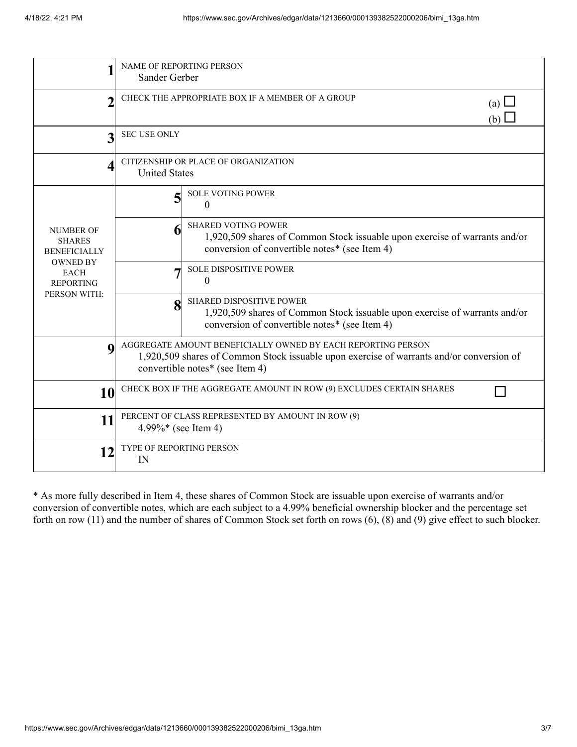|                                                                                                                                | <b>NAME OF REPORTING PERSON</b><br>Sander Gerber                                                                                                                                            |                                                                                                                                                                |  |
|--------------------------------------------------------------------------------------------------------------------------------|---------------------------------------------------------------------------------------------------------------------------------------------------------------------------------------------|----------------------------------------------------------------------------------------------------------------------------------------------------------------|--|
| $\mathcal{P}$                                                                                                                  | CHECK THE APPROPRIATE BOX IF A MEMBER OF A GROUP<br>(a) $\Box$<br>(b) $\Box$                                                                                                                |                                                                                                                                                                |  |
| 3                                                                                                                              | <b>SEC USE ONLY</b>                                                                                                                                                                         |                                                                                                                                                                |  |
| $\overline{\mathcal{A}}$                                                                                                       | CITIZENSHIP OR PLACE OF ORGANIZATION<br><b>United States</b>                                                                                                                                |                                                                                                                                                                |  |
| <b>NUMBER OF</b><br><b>SHARES</b><br><b>BENEFICIALLY</b><br><b>OWNED BY</b><br><b>EACH</b><br><b>REPORTING</b><br>PERSON WITH: | 5                                                                                                                                                                                           | <b>SOLE VOTING POWER</b><br>$\Omega$                                                                                                                           |  |
|                                                                                                                                |                                                                                                                                                                                             | <b>SHARED VOTING POWER</b><br>1,920,509 shares of Common Stock issuable upon exercise of warrants and/or<br>conversion of convertible notes* (see Item 4)      |  |
|                                                                                                                                |                                                                                                                                                                                             | <b>SOLE DISPOSITIVE POWER</b><br>$\Omega$                                                                                                                      |  |
|                                                                                                                                | $\bf{8}$                                                                                                                                                                                    | <b>SHARED DISPOSITIVE POWER</b><br>1,920,509 shares of Common Stock issuable upon exercise of warrants and/or<br>conversion of convertible notes* (see Item 4) |  |
| $\mathbf 0$                                                                                                                    | AGGREGATE AMOUNT BENEFICIALLY OWNED BY EACH REPORTING PERSON<br>1,920,509 shares of Common Stock issuable upon exercise of warrants and/or conversion of<br>convertible notes* (see Item 4) |                                                                                                                                                                |  |
| 10                                                                                                                             | CHECK BOX IF THE AGGREGATE AMOUNT IN ROW (9) EXCLUDES CERTAIN SHARES                                                                                                                        |                                                                                                                                                                |  |
| 11                                                                                                                             | PERCENT OF CLASS REPRESENTED BY AMOUNT IN ROW (9)<br>4.99%* (see Item 4)                                                                                                                    |                                                                                                                                                                |  |
| 12                                                                                                                             | TYPE OF REPORTING PERSON<br>IN                                                                                                                                                              |                                                                                                                                                                |  |

\* As more fully described in Item 4, these shares of Common Stock are issuable upon exercise of warrants and/or conversion of convertible notes, which are each subject to a 4.99% beneficial ownership blocker and the percentage set forth on row (11) and the number of shares of Common Stock set forth on rows (6), (8) and (9) give effect to such blocker.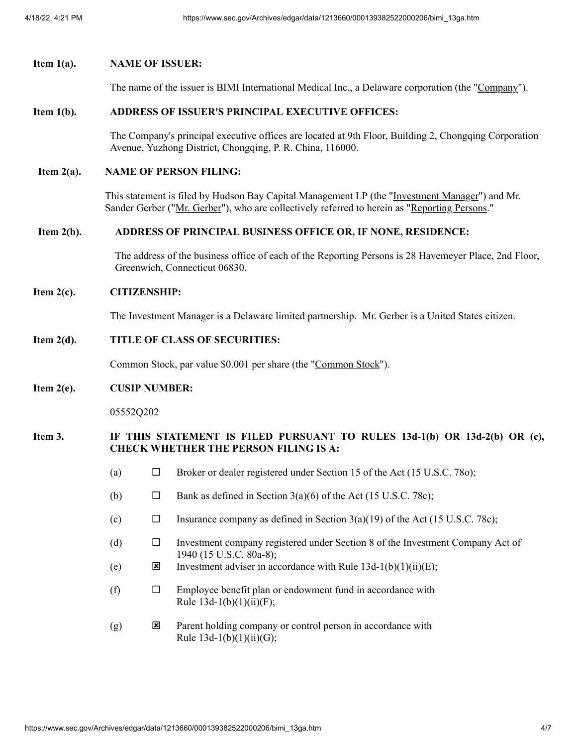# **Item 1(a). NAME OF ISSUER:**

The name of the issuer is BIMI International Medical Inc., a Delaware corporation (the "Company").

#### **Item 1(b). ADDRESS OF ISSUER'S PRINCIPAL EXECUTIVE OFFICES:**

The Company's principal executive offices are located at 9th Floor, Building 2, Chongqing Corporation Avenue, Yuzhong District, Chongqing, P. R. China, 116000.

### **Item 2(a). NAME OF PERSON FILING:**

This statement is filed by Hudson Bay Capital Management LP (the "Investment Manager") and Mr. Sander Gerber ("Mr. Gerber"), who are collectively referred to herein as "Reporting Persons."

### **Item 2(b). ADDRESS OF PRINCIPAL BUSINESS OFFICE OR, IF NONE, RESIDENCE:**

The address of the business office of each of the Reporting Persons is 28 Havemeyer Place, 2nd Floor, Greenwich, Connecticut 06830.

### **Item 2(c). CITIZENSHIP:**

The Investment Manager is a Delaware limited partnership. Mr. Gerber is a United States citizen.

# **Item 2(d). TITLE OF CLASS OF SECURITIES:**

Common Stock, par value \$0.001 per share (the "Common Stock").

#### **Item 2(e). CUSIP NUMBER:**

05552Q202

### **Item 3. IF THIS STATEMENT IS FILED PURSUANT TO RULES 13d-1(b) OR 13d-2(b) OR (c), CHECK WHETHER THE PERSON FILING IS A:**

- (a)  $\Box$  Broker or dealer registered under Section 15 of the Act (15 U.S.C. 780);
- (b)  $\Box$  Bank as defined in Section 3(a)(6) of the Act (15 U.S.C. 78c);
- (c)  $\Box$  Insurance company as defined in Section 3(a)(19) of the Act (15 U.S.C. 78c);
- (d) ¨ Investment company registered under Section 8 of the Investment Company Act of 1940 (15 U.S.C. 80a-8);
- (e)  $\qquad \qquad \textbf{X}$  Investment adviser in accordance with Rule 13d-1(b)(1)(ii)(E);
- (f)  $\square$  Employee benefit plan or endowment fund in accordance with Rule  $13d-1(b)(1)(ii)(F);$
- $(g)$  **EX** Parent holding company or control person in accordance with Rule  $13d-1(b)(1)(ii)(G);$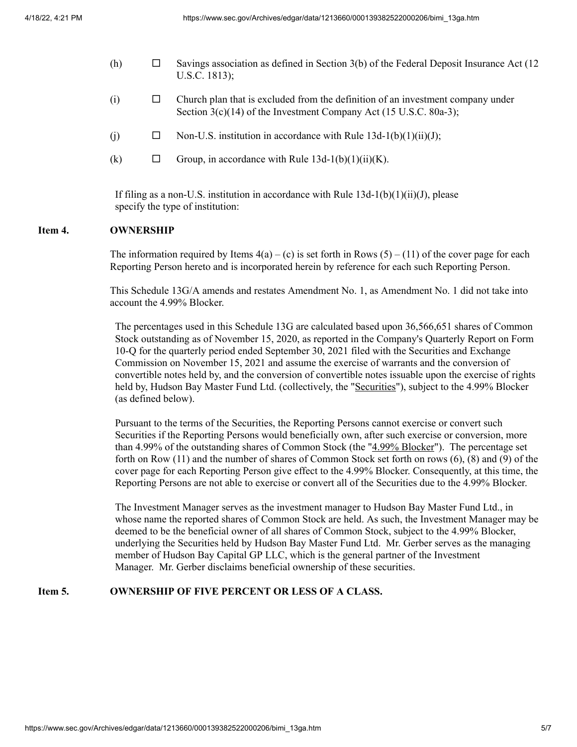- (h)  $\Box$  Savings association as defined in Section 3(b) of the Federal Deposit Insurance Act (12) U.S.C. 1813);
- $(i)$   $\Box$  Church plan that is excluded from the definition of an investment company under Section 3(c)(14) of the Investment Company Act (15 U.S.C. 80a-3);
- (i)  $\Box$  Non-U.S. institution in accordance with Rule 13d-1(b)(1)(ii)(J);
- (k)  $\Box$  Group, in accordance with Rule 13d-1(b)(1)(ii)(K).

If filing as a non-U.S. institution in accordance with Rule  $13d-1(b)(1)(ii)(J)$ , please specify the type of institution:

### **Item 4. OWNERSHIP**

The information required by Items  $4(a) - (c)$  is set forth in Rows  $(5) - (11)$  of the cover page for each Reporting Person hereto and is incorporated herein by reference for each such Reporting Person.

This Schedule 13G/A amends and restates Amendment No. 1, as Amendment No. 1 did not take into account the 4.99% Blocker.

The percentages used in this Schedule 13G are calculated based upon 36,566,651 shares of Common Stock outstanding as of November 15, 2020, as reported in the Company's Quarterly Report on Form 10-Q for the quarterly period ended September 30, 2021 filed with the Securities and Exchange Commission on November 15, 2021 and assume the exercise of warrants and the conversion of convertible notes held by, and the conversion of convertible notes issuable upon the exercise of rights held by, Hudson Bay Master Fund Ltd. (collectively, the "Securities"), subject to the 4.99% Blocker (as defined below).

Pursuant to the terms of the Securities, the Reporting Persons cannot exercise or convert such Securities if the Reporting Persons would beneficially own, after such exercise or conversion, more than 4.99% of the outstanding shares of Common Stock (the "4.99% Blocker"). The percentage set forth on Row (11) and the number of shares of Common Stock set forth on rows (6), (8) and (9) of the cover page for each Reporting Person give effect to the 4.99% Blocker. Consequently, at this time, the Reporting Persons are not able to exercise or convert all of the Securities due to the 4.99% Blocker.

The Investment Manager serves as the investment manager to Hudson Bay Master Fund Ltd., in whose name the reported shares of Common Stock are held. As such, the Investment Manager may be deemed to be the beneficial owner of all shares of Common Stock, subject to the 4.99% Blocker, underlying the Securities held by Hudson Bay Master Fund Ltd. Mr. Gerber serves as the managing member of Hudson Bay Capital GP LLC, which is the general partner of the Investment Manager. Mr. Gerber disclaims beneficial ownership of these securities.

## **Item 5. OWNERSHIP OF FIVE PERCENT OR LESS OF A CLASS.**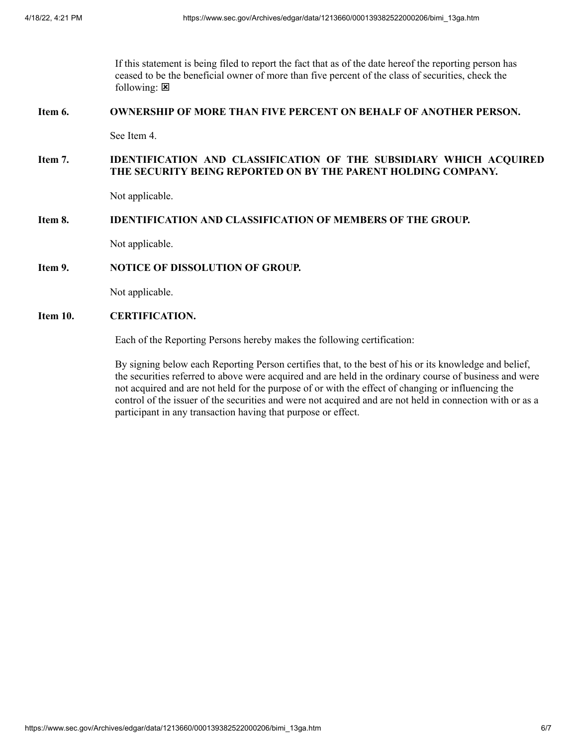If this statement is being filed to report the fact that as of the date hereof the reporting person has ceased to be the beneficial owner of more than five percent of the class of securities, check the following:  $\boxtimes$ 

#### **Item 6. OWNERSHIP OF MORE THAN FIVE PERCENT ON BEHALF OF ANOTHER PERSON.**

See Item 4.

## **Item 7. IDENTIFICATION AND CLASSIFICATION OF THE SUBSIDIARY WHICH ACQUIRED THE SECURITY BEING REPORTED ON BY THE PARENT HOLDING COMPANY.**

Not applicable.

## **Item 8. IDENTIFICATION AND CLASSIFICATION OF MEMBERS OF THE GROUP.**

Not applicable.

#### **Item 9. NOTICE OF DISSOLUTION OF GROUP.**

Not applicable.

# **Item 10. CERTIFICATION.**

Each of the Reporting Persons hereby makes the following certification:

By signing below each Reporting Person certifies that, to the best of his or its knowledge and belief, the securities referred to above were acquired and are held in the ordinary course of business and were not acquired and are not held for the purpose of or with the effect of changing or influencing the control of the issuer of the securities and were not acquired and are not held in connection with or as a participant in any transaction having that purpose or effect.